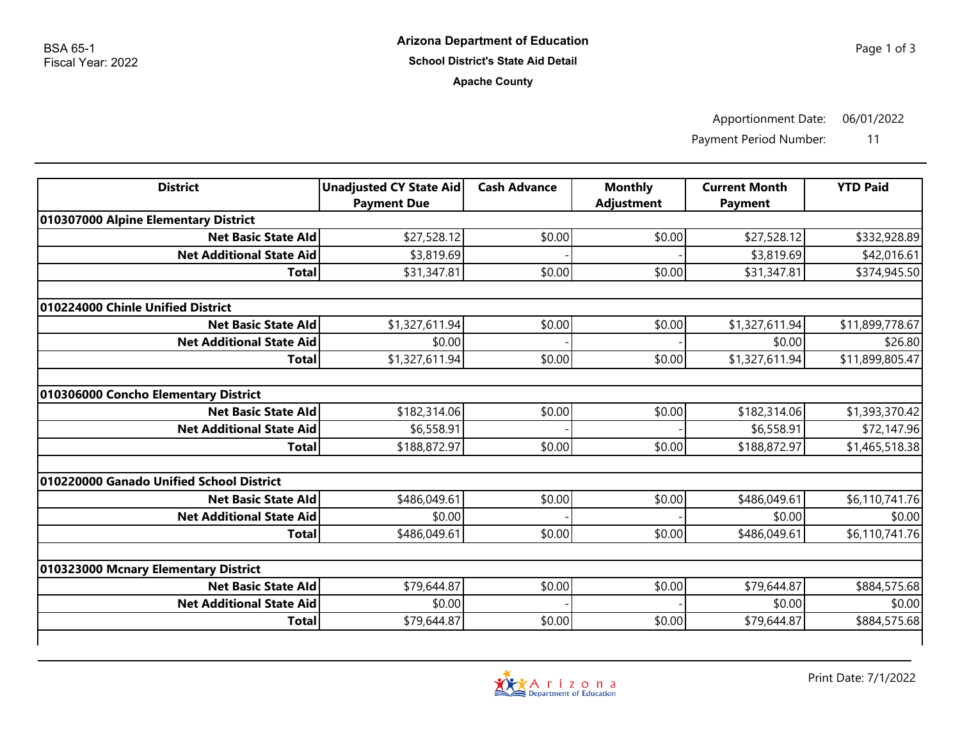Apportionment Date: 06/01/2022

Payment Period Number: 11

| <b>District</b>                          | <b>Unadjusted CY State Aid</b><br><b>Payment Due</b> | <b>Cash Advance</b> | <b>Monthly</b><br><b>Adjustment</b> | <b>Current Month</b><br><b>Payment</b> | <b>YTD Paid</b> |
|------------------------------------------|------------------------------------------------------|---------------------|-------------------------------------|----------------------------------------|-----------------|
| 010307000 Alpine Elementary District     |                                                      |                     |                                     |                                        |                 |
| <b>Net Basic State Ald</b>               | \$27,528.12                                          | \$0.00              | \$0.00                              | \$27,528.12                            | \$332,928.89    |
| <b>Net Additional State Aid</b>          | \$3,819.69                                           |                     |                                     | \$3,819.69                             | \$42,016.61     |
| <b>Total</b>                             | \$31,347.81                                          | \$0.00              | \$0.00                              | \$31,347.81                            | \$374,945.50    |
| 010224000 Chinle Unified District        |                                                      |                     |                                     |                                        |                 |
| <b>Net Basic State Ald</b>               | \$1,327,611.94                                       | \$0.00              | \$0.00                              | \$1,327,611.94                         | \$11,899,778.67 |
| <b>Net Additional State Aid</b>          | \$0.00                                               |                     |                                     | \$0.00                                 | \$26.80         |
| <b>Total</b>                             | \$1,327,611.94                                       | \$0.00              | \$0.00                              | \$1,327,611.94                         | \$11,899,805.47 |
| 010306000 Concho Elementary District     |                                                      |                     |                                     |                                        |                 |
| <b>Net Basic State Ald</b>               | \$182,314.06                                         | \$0.00              | \$0.00                              | \$182,314.06                           | \$1,393,370.42  |
| <b>Net Additional State Aid</b>          | \$6,558.91                                           |                     |                                     | \$6,558.91                             | \$72,147.96     |
| <b>Total</b>                             | \$188,872.97                                         | \$0.00              | \$0.00                              | \$188,872.97                           | \$1,465,518.38  |
| 010220000 Ganado Unified School District |                                                      |                     |                                     |                                        |                 |
| <b>Net Basic State Ald</b>               | \$486,049.61                                         | \$0.00              | \$0.00                              | \$486,049.61                           | \$6,110,741.76  |
| <b>Net Additional State Aid</b>          | \$0.00                                               |                     |                                     | \$0.00                                 | \$0.00          |
| <b>Total</b>                             | \$486,049.61                                         | \$0.00              | \$0.00                              | \$486,049.61                           | \$6,110,741.76  |
| 010323000 Mcnary Elementary District     |                                                      |                     |                                     |                                        |                 |
| <b>Net Basic State Ald</b>               | \$79,644.87                                          | \$0.00              | \$0.00                              | \$79,644.87                            | \$884,575.68    |
| <b>Net Additional State Aid</b>          | \$0.00                                               |                     |                                     | \$0.00                                 | \$0.00          |
| <b>Total</b>                             | \$79,644.87                                          | \$0.00              | \$0.00                              | \$79,644.87                            | \$884,575.68    |

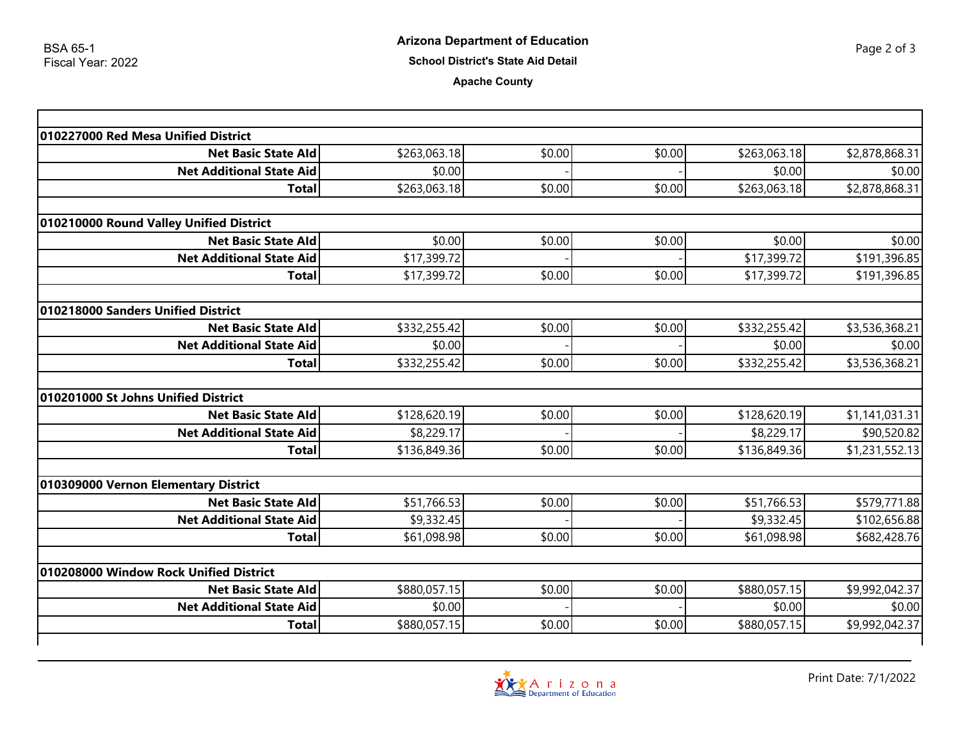## **Apache County**

| 010227000 Red Mesa Unified District     |              |        |        |              |                |
|-----------------------------------------|--------------|--------|--------|--------------|----------------|
| <b>Net Basic State Ald</b>              | \$263,063.18 | \$0.00 | \$0.00 | \$263,063.18 | \$2,878,868.31 |
| <b>Net Additional State Aid</b>         | \$0.00       |        |        | \$0.00       | \$0.00         |
| <b>Total</b>                            | \$263,063.18 | \$0.00 | \$0.00 | \$263,063.18 | \$2,878,868.31 |
| 010210000 Round Valley Unified District |              |        |        |              |                |
| <b>Net Basic State Ald</b>              | \$0.00       | \$0.00 | \$0.00 | \$0.00       | \$0.00         |
| <b>Net Additional State Aid</b>         | \$17,399.72  |        |        | \$17,399.72  | \$191,396.85   |
| <b>Total</b>                            | \$17,399.72  | \$0.00 | \$0.00 | \$17,399.72  | \$191,396.85   |
| 010218000 Sanders Unified District      |              |        |        |              |                |
| <b>Net Basic State Ald</b>              | \$332,255.42 | \$0.00 | \$0.00 | \$332,255.42 | \$3,536,368.21 |
| <b>Net Additional State Aid</b>         | \$0.00       |        |        | \$0.00       | \$0.00         |
| <b>Total</b>                            | \$332,255.42 | \$0.00 | \$0.00 | \$332,255.42 | \$3,536,368.21 |
| 010201000 St Johns Unified District     |              |        |        |              |                |
| <b>Net Basic State Ald</b>              | \$128,620.19 | \$0.00 | \$0.00 | \$128,620.19 | \$1,141,031.31 |
| <b>Net Additional State Aid</b>         | \$8,229.17   |        |        | \$8,229.17   | \$90,520.82    |
| <b>Total</b>                            | \$136,849.36 | \$0.00 | \$0.00 | \$136,849.36 | \$1,231,552.13 |
| 010309000 Vernon Elementary District    |              |        |        |              |                |
| <b>Net Basic State Ald</b>              | \$51,766.53  | \$0.00 | \$0.00 | \$51,766.53  | \$579,771.88   |
| <b>Net Additional State Aid</b>         | \$9,332.45   |        |        | \$9,332.45   | \$102,656.88   |
| <b>Total</b>                            | \$61,098.98  | \$0.00 | \$0.00 | \$61,098.98  | \$682,428.76   |
| 010208000 Window Rock Unified District  |              |        |        |              |                |
| <b>Net Basic State Ald</b>              | \$880,057.15 | \$0.00 | \$0.00 | \$880,057.15 | \$9,992,042.37 |
| <b>Net Additional State Aid</b>         | \$0.00       |        |        | \$0.00       | \$0.00         |
| <b>Total</b>                            | \$880,057.15 | \$0.00 | \$0.00 | \$880,057.15 | \$9,992,042.37 |
|                                         |              |        |        |              |                |